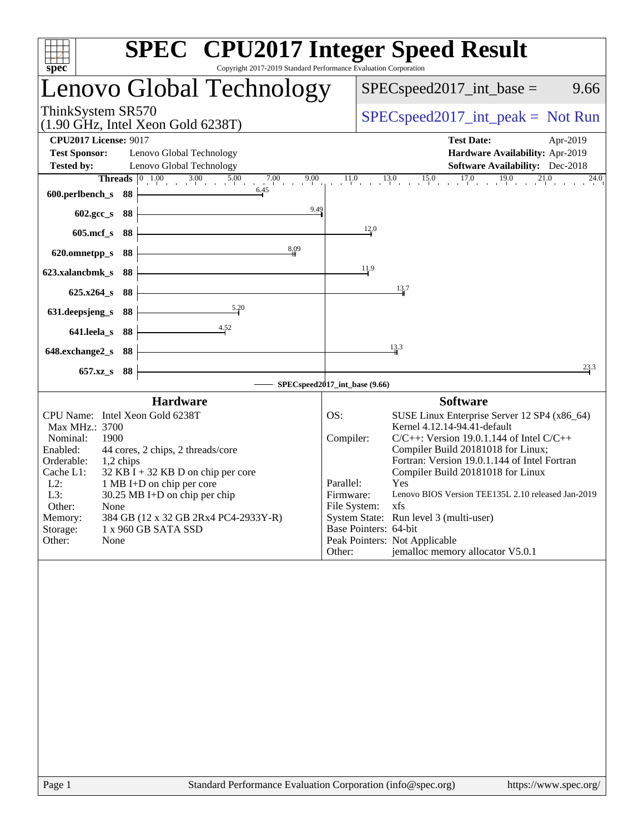| $spec^*$<br>Copyright 2017-2019 Standard Performance Evaluation Corporation                                                                                                                                                                                                                                                                                                                                                        | <b>SPEC<sup>®</sup></b> CPU2017 Integer Speed Result                                                                                                                                                                                                                                                                                                                                                                                                                                                                                                            |
|------------------------------------------------------------------------------------------------------------------------------------------------------------------------------------------------------------------------------------------------------------------------------------------------------------------------------------------------------------------------------------------------------------------------------------|-----------------------------------------------------------------------------------------------------------------------------------------------------------------------------------------------------------------------------------------------------------------------------------------------------------------------------------------------------------------------------------------------------------------------------------------------------------------------------------------------------------------------------------------------------------------|
| Lenovo Global Technology                                                                                                                                                                                                                                                                                                                                                                                                           | $SPEC speed2017\_int\_base =$<br>9.66                                                                                                                                                                                                                                                                                                                                                                                                                                                                                                                           |
| ThinkSystem SR570<br>(1.90 GHz, Intel Xeon Gold 6238T)                                                                                                                                                                                                                                                                                                                                                                             | $SPEC speed2017\_int\_peak = Not Run$                                                                                                                                                                                                                                                                                                                                                                                                                                                                                                                           |
| <b>CPU2017 License: 9017</b><br><b>Test Sponsor:</b><br>Lenovo Global Technology<br><b>Tested by:</b><br>Lenovo Global Technology                                                                                                                                                                                                                                                                                                  | <b>Test Date:</b><br>Apr-2019<br>Hardware Availability: Apr-2019<br><b>Software Availability:</b> Dec-2018                                                                                                                                                                                                                                                                                                                                                                                                                                                      |
| <b>Threads</b> $\begin{array}{ccc} 0 & 1.00 & 3.00 & 5.00 \\ 1 & 0 & 3.00 & 5.00 \\ 0 & 0 & 0 & 0.00 \\ 0 & 0 & 0 & 0.00 \\ 0 & 0 & 0 & 0.00 \\ 0 & 0 & 0 & 0.00 \\ 0 & 0 & 0 & 0.00 \\ 0 & 0 & 0 & 0.00 \\ 0 & 0 & 0 & 0 & 0.0 \\ 0 & 0 & 0 & 0 & 0.0 \\ 0 & 0 & 0 & 0 & 0 & 0.0 \\ 0 & 0 & 0 & 0 & 0 & 0.0 \\$<br>7.00<br>9.00<br>6.45<br>600.perlbench_s<br>88                                                                  | $11.0$ $13.0$ $15.0$ $17.0$ $19.0$<br>21.0<br>$\overline{24.0}$                                                                                                                                                                                                                                                                                                                                                                                                                                                                                                 |
| 9.49<br>602.gcc_s<br>88<br>$605$ .mcf_s<br>88                                                                                                                                                                                                                                                                                                                                                                                      | 12.0                                                                                                                                                                                                                                                                                                                                                                                                                                                                                                                                                            |
| 8,09<br>620.omnetpp_s<br>88<br>88<br>623.xalancbmk_s                                                                                                                                                                                                                                                                                                                                                                               | 11.9                                                                                                                                                                                                                                                                                                                                                                                                                                                                                                                                                            |
| $625.x264_s$<br>88                                                                                                                                                                                                                                                                                                                                                                                                                 | 13.7                                                                                                                                                                                                                                                                                                                                                                                                                                                                                                                                                            |
| $\frac{5.20}{5.20}$<br>88<br>631.deepsjeng_s<br>641.leela_s<br>88                                                                                                                                                                                                                                                                                                                                                                  |                                                                                                                                                                                                                                                                                                                                                                                                                                                                                                                                                                 |
| 648.exchange2_s<br>88<br>$657.xz$ <sub>S</sub><br>88                                                                                                                                                                                                                                                                                                                                                                               | 13.3<br>23.3                                                                                                                                                                                                                                                                                                                                                                                                                                                                                                                                                    |
|                                                                                                                                                                                                                                                                                                                                                                                                                                    | SPECspeed2017_int_base (9.66)                                                                                                                                                                                                                                                                                                                                                                                                                                                                                                                                   |
| <b>Hardware</b><br>CPU Name: Intel Xeon Gold 6238T<br>Max MHz.: 3700<br>1900<br>Nominal:<br>Enabled:<br>44 cores, 2 chips, 2 threads/core<br>Orderable:<br>1,2 chips<br>$32$ KB I + 32 KB D on chip per core<br>Cache L1:<br>$L2$ :<br>1 MB I+D on chip per core<br>L3:<br>30.25 MB I+D on chip per chip<br>Other:<br>None<br>Memory:<br>384 GB (12 x 32 GB 2Rx4 PC4-2933Y-R)<br>Storage:<br>1 x 960 GB SATA SSD<br>Other:<br>None | <b>Software</b><br>SUSE Linux Enterprise Server 12 SP4 (x86_64)<br>OS:<br>Kernel 4.12.14-94.41-default<br>Compiler:<br>$C/C++$ : Version 19.0.1.144 of Intel $C/C++$<br>Compiler Build 20181018 for Linux;<br>Fortran: Version 19.0.1.144 of Intel Fortran<br>Compiler Build 20181018 for Linux<br>Parallel:<br>Yes<br>Lenovo BIOS Version TEE135L 2.10 released Jan-2019<br>Firmware:<br>File System:<br>xfs<br>System State: Run level 3 (multi-user)<br>Base Pointers: 64-bit<br>Peak Pointers: Not Applicable<br>jemalloc memory allocator V5.0.1<br>Other: |
|                                                                                                                                                                                                                                                                                                                                                                                                                                    |                                                                                                                                                                                                                                                                                                                                                                                                                                                                                                                                                                 |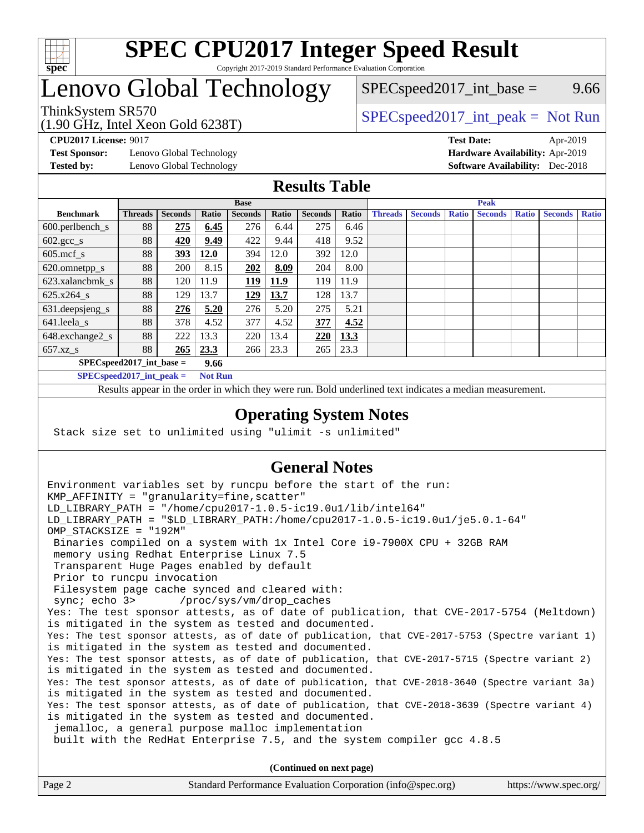

### **[SPEC CPU2017 Integer Speed Result](http://www.spec.org/auto/cpu2017/Docs/result-fields.html#SPECCPU2017IntegerSpeedResult)** Copyright 2017-2019 Standard Performance Evaluation Corporation

## Lenovo Global Technology

 $SPEC speed2017\_int\_base =$  9.66

### ThinkSystem SR570<br>  $\begin{array}{c} \text{SPEC speed2017\_int\_peak} = \text{Not Run} \\ \text{SPEC speed2017\_int\_peak} = \text{Not Run} \end{array}$

**[Test Sponsor:](http://www.spec.org/auto/cpu2017/Docs/result-fields.html#TestSponsor)** Lenovo Global Technology **[Hardware Availability:](http://www.spec.org/auto/cpu2017/Docs/result-fields.html#HardwareAvailability)** Apr-2019

(1.90 GHz, Intel Xeon Gold 6238T)

**[CPU2017 License:](http://www.spec.org/auto/cpu2017/Docs/result-fields.html#CPU2017License)** 9017 **[Test Date:](http://www.spec.org/auto/cpu2017/Docs/result-fields.html#TestDate)** Apr-2019 **[Tested by:](http://www.spec.org/auto/cpu2017/Docs/result-fields.html#Testedby)** Lenovo Global Technology **[Software Availability:](http://www.spec.org/auto/cpu2017/Docs/result-fields.html#SoftwareAvailability)** Dec-2018

### **[Results Table](http://www.spec.org/auto/cpu2017/Docs/result-fields.html#ResultsTable)**

|                            | <b>Base</b>    |                |       |                |       | <b>Peak</b>    |       |                |                |              |                |              |                |              |
|----------------------------|----------------|----------------|-------|----------------|-------|----------------|-------|----------------|----------------|--------------|----------------|--------------|----------------|--------------|
| <b>Benchmark</b>           | <b>Threads</b> | <b>Seconds</b> | Ratio | <b>Seconds</b> | Ratio | <b>Seconds</b> | Ratio | <b>Threads</b> | <b>Seconds</b> | <b>Ratio</b> | <b>Seconds</b> | <b>Ratio</b> | <b>Seconds</b> | <b>Ratio</b> |
| 600.perlbench_s            | 88             | 275            | 6.45  | 276            | 6.44  | 275            | 6.46  |                |                |              |                |              |                |              |
| $602.\text{gcc}\_\text{s}$ | 88             | 420            | 9.49  | 422            | 9.44  | 418            | 9.52  |                |                |              |                |              |                |              |
| $605$ .mcf s               | 88             | 393            | 12.0  | 394            | 12.0  | 392            | 12.0  |                |                |              |                |              |                |              |
| 620.omnetpp_s              | 88             | 200            | 8.15  | 202            | 8.09  | 204            | 8.00  |                |                |              |                |              |                |              |
| 623.xalancbmk s            | 88             | 120            | 11.9  | 119            | 11.9  | 119            | 11.9  |                |                |              |                |              |                |              |
| 625.x264 s                 | 88             | 129            | 13.7  | <u>129</u>     | 13.7  | 128            | 13.7  |                |                |              |                |              |                |              |
| 631.deepsjeng_s            | 88             | 276            | 5.20  | 276            | 5.20  | 275            | 5.21  |                |                |              |                |              |                |              |
| 641.leela_s                | 88             | 378            | 4.52  | 377            | 4.52  | 377            | 4.52  |                |                |              |                |              |                |              |
| 648.exchange2_s            | 88             | 222            | 13.3  | 220            | 13.4  | 220            | 13.3  |                |                |              |                |              |                |              |
| $657.xz$ s                 | 88             | 265            | 23.3  | 266            | 23.3  | 265            | 23.3  |                |                |              |                |              |                |              |
| $SPECspeed2017$ int base = |                |                | 9.66  |                |       |                |       |                |                |              |                |              |                |              |

**[SPECspeed2017\\_int\\_peak =](http://www.spec.org/auto/cpu2017/Docs/result-fields.html#SPECspeed2017intpeak) Not Run**

Results appear in the [order in which they were run.](http://www.spec.org/auto/cpu2017/Docs/result-fields.html#RunOrder) Bold underlined text [indicates a median measurement.](http://www.spec.org/auto/cpu2017/Docs/result-fields.html#Median)

### **[Operating System Notes](http://www.spec.org/auto/cpu2017/Docs/result-fields.html#OperatingSystemNotes)**

Stack size set to unlimited using "ulimit -s unlimited"

### **[General Notes](http://www.spec.org/auto/cpu2017/Docs/result-fields.html#GeneralNotes)**

Environment variables set by runcpu before the start of the run: KMP AFFINITY = "granularity=fine, scatter" LD\_LIBRARY\_PATH = "/home/cpu2017-1.0.5-ic19.0u1/lib/intel64" LD\_LIBRARY\_PATH = "\$LD\_LIBRARY\_PATH:/home/cpu2017-1.0.5-ic19.0u1/je5.0.1-64" OMP\_STACKSIZE = "192M" Binaries compiled on a system with 1x Intel Core i9-7900X CPU + 32GB RAM memory using Redhat Enterprise Linux 7.5 Transparent Huge Pages enabled by default Prior to runcpu invocation Filesystem page cache synced and cleared with: sync; echo 3> /proc/sys/vm/drop\_caches Yes: The test sponsor attests, as of date of publication, that CVE-2017-5754 (Meltdown) is mitigated in the system as tested and documented. Yes: The test sponsor attests, as of date of publication, that CVE-2017-5753 (Spectre variant 1) is mitigated in the system as tested and documented. Yes: The test sponsor attests, as of date of publication, that CVE-2017-5715 (Spectre variant 2) is mitigated in the system as tested and documented. Yes: The test sponsor attests, as of date of publication, that CVE-2018-3640 (Spectre variant 3a) is mitigated in the system as tested and documented. Yes: The test sponsor attests, as of date of publication, that CVE-2018-3639 (Spectre variant 4) is mitigated in the system as tested and documented. jemalloc, a general purpose malloc implementation built with the RedHat Enterprise 7.5, and the system compiler gcc 4.8.5 **(Continued on next page)**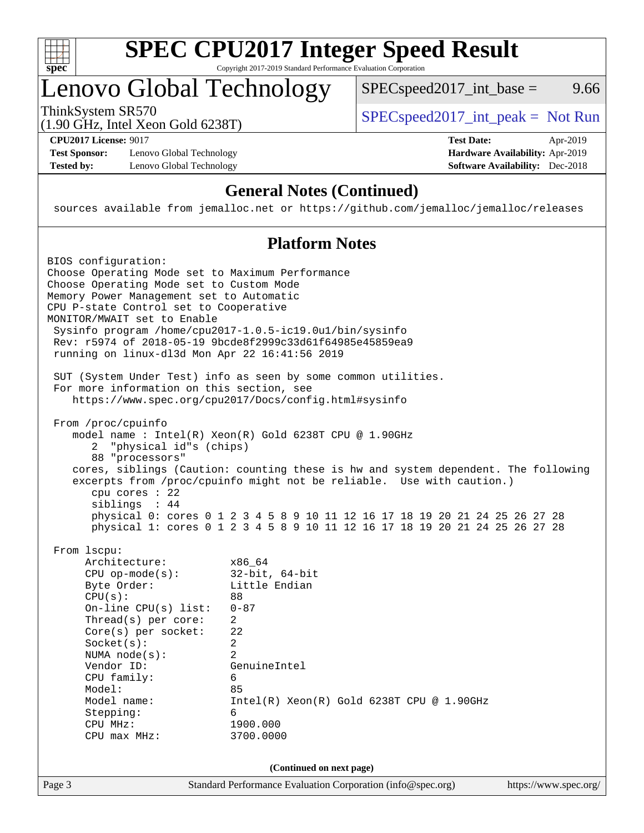

# **[SPEC CPU2017 Integer Speed Result](http://www.spec.org/auto/cpu2017/Docs/result-fields.html#SPECCPU2017IntegerSpeedResult)**

Copyright 2017-2019 Standard Performance Evaluation Corporation

## Lenovo Global Technology

ThinkSystem SR570<br>(1.00 GHz, Intel Year Gald 6238T) [SPECspeed2017\\_int\\_peak =](http://www.spec.org/auto/cpu2017/Docs/result-fields.html#SPECspeed2017intpeak) Not Run

 $SPEC speed2017\_int\_base =$  9.66

(1.90 GHz, Intel Xeon Gold 6238T)

**[Test Sponsor:](http://www.spec.org/auto/cpu2017/Docs/result-fields.html#TestSponsor)** Lenovo Global Technology **[Hardware Availability:](http://www.spec.org/auto/cpu2017/Docs/result-fields.html#HardwareAvailability)** Apr-2019 [Tested by:](http://www.spec.org/auto/cpu2017/Docs/result-fields.html#Testedby) Lenovo Global Technology **[Software Availability:](http://www.spec.org/auto/cpu2017/Docs/result-fields.html#SoftwareAvailability)** Dec-2018

**[CPU2017 License:](http://www.spec.org/auto/cpu2017/Docs/result-fields.html#CPU2017License)** 9017 **[Test Date:](http://www.spec.org/auto/cpu2017/Docs/result-fields.html#TestDate)** Apr-2019

### **[General Notes \(Continued\)](http://www.spec.org/auto/cpu2017/Docs/result-fields.html#GeneralNotes)**

sources available from jemalloc.net or <https://github.com/jemalloc/jemalloc/releases>

### **[Platform Notes](http://www.spec.org/auto/cpu2017/Docs/result-fields.html#PlatformNotes)**

| SUT (System Under Test) info as seen by some common utilities.<br>For more information on this section, see<br>https://www.spec.org/cpu2017/Docs/config.html#sysinfo                                                                                                                                                                                                                                                                                                                                                                            |
|-------------------------------------------------------------------------------------------------------------------------------------------------------------------------------------------------------------------------------------------------------------------------------------------------------------------------------------------------------------------------------------------------------------------------------------------------------------------------------------------------------------------------------------------------|
|                                                                                                                                                                                                                                                                                                                                                                                                                                                                                                                                                 |
| From /proc/cpuinfo<br>model name: $Intel(R)$ Xeon $(R)$ Gold 6238T CPU @ 1.90GHz<br>2 "physical id"s (chips)<br>88 "processors"<br>cores, siblings (Caution: counting these is hw and system dependent. The following<br>excerpts from /proc/cpuinfo might not be reliable. Use with caution.)<br>$cpu$ cores : 22<br>siblings : 44<br>physical 0: cores 0 1 2 3 4 5 8 9 10 11 12 16 17 18 19 20 21 24 25 26 27 28<br>physical 1: cores 0 1 2 3 4 5 8 9 10 11 12 16 17 18 19 20 21 24 25 26 27 28                                               |
| From 1scpu:<br>Architecture:<br>x86 64<br>$32$ -bit, $64$ -bit<br>$CPU$ op-mode( $s$ ):<br>Byte Order:<br>Little Endian<br>CPU(s):<br>88<br>$On$ -line CPU $(s)$ list:<br>$0 - 87$<br>Thread( $s$ ) per core:<br>$\overline{2}$<br>$Core(s)$ per socket:<br>22<br>Socket(s):<br>$\overline{2}$<br>$\overline{2}$<br>NUMA $node(s):$<br>Vendor ID:<br>GenuineIntel<br>CPU family:<br>6<br>Model:<br>85<br>Model name:<br>$Intel(R) Xeon(R) Gold 6238T CPU @ 1.90GHz$<br>Stepping:<br>6<br>CPU MHz:<br>1900.000<br>3700.0000<br>$CPU$ max $MHz$ : |
| (Continued on next page)<br>Page 3<br>Standard Performance Evaluation Corporation (info@spec.org)<br>https://www.spec.org/                                                                                                                                                                                                                                                                                                                                                                                                                      |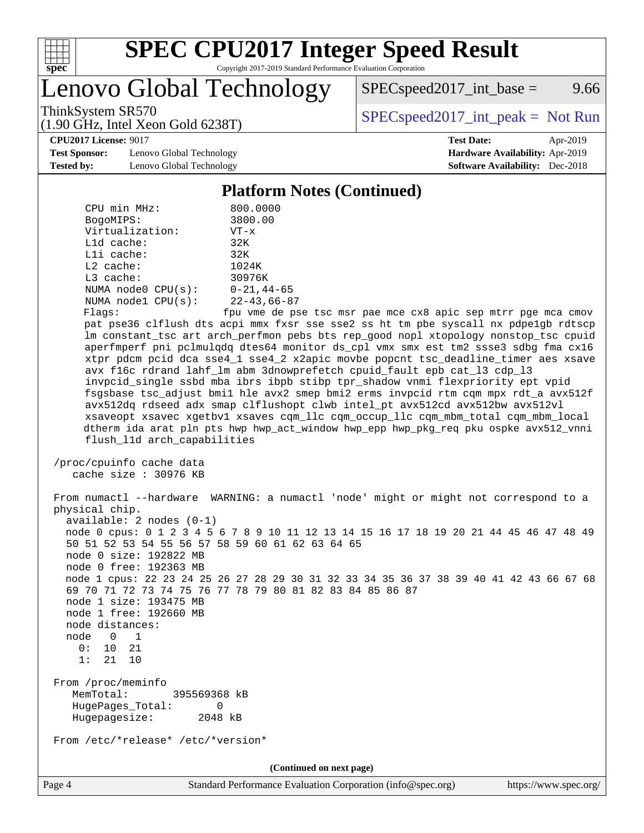

# **[SPEC CPU2017 Integer Speed Result](http://www.spec.org/auto/cpu2017/Docs/result-fields.html#SPECCPU2017IntegerSpeedResult)**

Copyright 2017-2019 Standard Performance Evaluation Corporation

Lenovo Global Technology

 $SPEC speed2017\_int\_base =$  9.66

(1.90 GHz, Intel Xeon Gold 6238T)

ThinkSystem SR570<br>(1.00 GHz, Intel Year Gald 6238T) [SPECspeed2017\\_int\\_peak =](http://www.spec.org/auto/cpu2017/Docs/result-fields.html#SPECspeed2017intpeak) Not Run

**[Test Sponsor:](http://www.spec.org/auto/cpu2017/Docs/result-fields.html#TestSponsor)** Lenovo Global Technology **[Hardware Availability:](http://www.spec.org/auto/cpu2017/Docs/result-fields.html#HardwareAvailability)** Apr-2019 **[Tested by:](http://www.spec.org/auto/cpu2017/Docs/result-fields.html#Testedby)** Lenovo Global Technology **[Software Availability:](http://www.spec.org/auto/cpu2017/Docs/result-fields.html#SoftwareAvailability)** Dec-2018

**[CPU2017 License:](http://www.spec.org/auto/cpu2017/Docs/result-fields.html#CPU2017License)** 9017 **[Test Date:](http://www.spec.org/auto/cpu2017/Docs/result-fields.html#TestDate)** Apr-2019

#### **[Platform Notes \(Continued\)](http://www.spec.org/auto/cpu2017/Docs/result-fields.html#PlatformNotes)**

| CPU min MHz:<br>BogoMIPS:                        | 800.0000<br>3800.00                                                                                                                                                     |
|--------------------------------------------------|-------------------------------------------------------------------------------------------------------------------------------------------------------------------------|
| Virtualization:                                  | $VT - x$                                                                                                                                                                |
| L1d cache:                                       | 32K                                                                                                                                                                     |
| Lli cache:                                       | 32K                                                                                                                                                                     |
| $L2$ cache:                                      | 1024K                                                                                                                                                                   |
| L3 cache:                                        | 30976K                                                                                                                                                                  |
| NUMA $node0$ $CPU(s)$ :                          | 0-21,44-65                                                                                                                                                              |
| NUMA nodel $CPU(s):$                             | 22-43,66-87                                                                                                                                                             |
| Flags:                                           | fpu vme de pse tsc msr pae mce cx8 apic sep mtrr pge mca cmov                                                                                                           |
|                                                  | pat pse36 clflush dts acpi mmx fxsr sse sse2 ss ht tm pbe syscall nx pdpelgb rdtscp                                                                                     |
|                                                  | lm constant_tsc art arch_perfmon pebs bts rep_good nopl xtopology nonstop_tsc cpuid                                                                                     |
|                                                  | aperfmperf pni pclmulqdq dtes64 monitor ds_cpl vmx smx est tm2 ssse3 sdbg fma cx16<br>xtpr pdcm pcid dca sse4_1 sse4_2 x2apic movbe popcnt tsc_deadline_timer aes xsave |
|                                                  | avx f16c rdrand lahf_lm abm 3dnowprefetch cpuid_fault epb cat_13 cdp_13                                                                                                 |
|                                                  | invpcid_single ssbd mba ibrs ibpb stibp tpr_shadow vnmi flexpriority ept vpid                                                                                           |
|                                                  | fsgsbase tsc_adjust bmil hle avx2 smep bmi2 erms invpcid rtm cqm mpx rdt_a avx512f                                                                                      |
|                                                  | avx512dq rdseed adx smap clflushopt clwb intel_pt avx512cd avx512bw avx512vl                                                                                            |
|                                                  | xsaveopt xsavec xgetbvl xsaves cqm_llc cqm_occup_llc cqm_mbm_total cqm_mbm_local                                                                                        |
|                                                  | dtherm ida arat pln pts hwp hwp_act_window hwp_epp hwp_pkg_req pku ospke avx512_vnni                                                                                    |
| flush_l1d arch_capabilities                      |                                                                                                                                                                         |
| /proc/cpuinfo cache data                         |                                                                                                                                                                         |
| cache size $: 30976$ KB                          |                                                                                                                                                                         |
|                                                  |                                                                                                                                                                         |
|                                                  | From numactl --hardware WARNING: a numactl 'node' might or might not correspond to a                                                                                    |
| physical chip.                                   |                                                                                                                                                                         |
| $available: 2 nodes (0-1)$                       |                                                                                                                                                                         |
|                                                  | node 0 cpus: 0 1 2 3 4 5 6 7 8 9 10 11 12 13 14 15 16 17 18 19 20 21 44 45 46 47 48 49                                                                                  |
| 50 51 52 53 54 55 56 57 58 59 60 61 62 63 64 65  |                                                                                                                                                                         |
| node 0 size: 192822 MB<br>node 0 free: 192363 MB |                                                                                                                                                                         |
|                                                  | node 1 cpus: 22 23 24 25 26 27 28 29 30 31 32 33 34 35 36 37 38 39 40 41 42 43 66 67 68                                                                                 |
|                                                  | 69 70 71 72 73 74 75 76 77 78 79 80 81 82 83 84 85 86 87                                                                                                                |
| node 1 size: 193475 MB                           |                                                                                                                                                                         |
| node 1 free: 192660 MB                           |                                                                                                                                                                         |
| node distances:                                  |                                                                                                                                                                         |
| node<br>$\overline{0}$<br>1                      |                                                                                                                                                                         |
| 0:<br>10 21                                      |                                                                                                                                                                         |
| 1:<br>21<br>10                                   |                                                                                                                                                                         |
| From /proc/meminfo                               |                                                                                                                                                                         |
| MemTotal:<br>395569368 kB                        |                                                                                                                                                                         |
| HugePages_Total:<br>0                            |                                                                                                                                                                         |
| Hugepagesize:<br>2048 kB                         |                                                                                                                                                                         |
| From /etc/*release* /etc/*version*               |                                                                                                                                                                         |
|                                                  |                                                                                                                                                                         |
|                                                  | (Continued on next page)                                                                                                                                                |

Page 4 Standard Performance Evaluation Corporation [\(info@spec.org\)](mailto:info@spec.org) <https://www.spec.org/>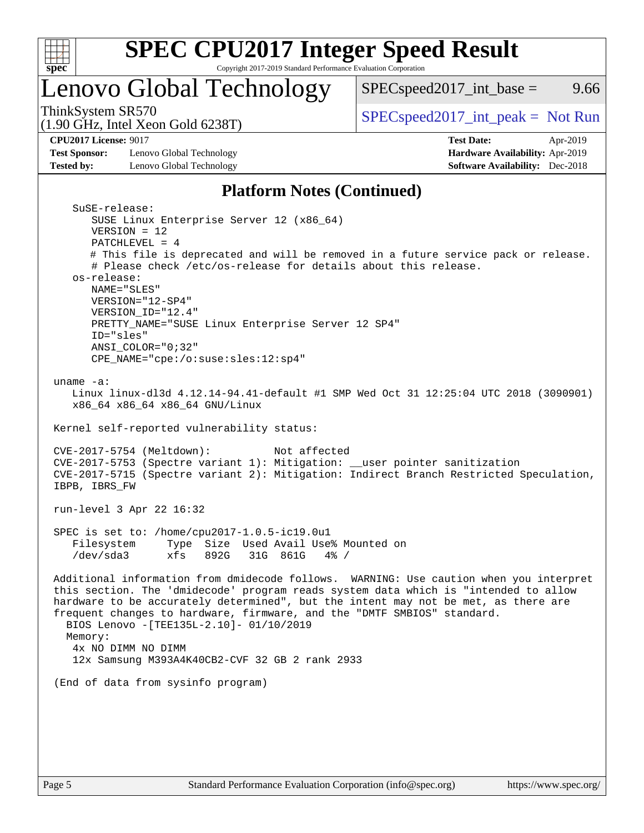

# **[SPEC CPU2017 Integer Speed Result](http://www.spec.org/auto/cpu2017/Docs/result-fields.html#SPECCPU2017IntegerSpeedResult)**

Copyright 2017-2019 Standard Performance Evaluation Corporation

## Lenovo Global Technology

ThinkSystem SR570<br>(1.00 GHz, Intel Year Gald 6238T) [SPECspeed2017\\_int\\_peak =](http://www.spec.org/auto/cpu2017/Docs/result-fields.html#SPECspeed2017intpeak) Not Run

 $SPEC speed2017\_int\_base =$  9.66

(1.90 GHz, Intel Xeon Gold 6238T)

**[Test Sponsor:](http://www.spec.org/auto/cpu2017/Docs/result-fields.html#TestSponsor)** Lenovo Global Technology **[Hardware Availability:](http://www.spec.org/auto/cpu2017/Docs/result-fields.html#HardwareAvailability)** Apr-2019

**[CPU2017 License:](http://www.spec.org/auto/cpu2017/Docs/result-fields.html#CPU2017License)** 9017 **[Test Date:](http://www.spec.org/auto/cpu2017/Docs/result-fields.html#TestDate)** Apr-2019 **[Tested by:](http://www.spec.org/auto/cpu2017/Docs/result-fields.html#Testedby)** Lenovo Global Technology **[Software Availability:](http://www.spec.org/auto/cpu2017/Docs/result-fields.html#SoftwareAvailability)** Dec-2018

### **[Platform Notes \(Continued\)](http://www.spec.org/auto/cpu2017/Docs/result-fields.html#PlatformNotes)**

| SuSE-release:                                                                          |
|----------------------------------------------------------------------------------------|
| SUSE Linux Enterprise Server 12 (x86_64)                                               |
| $VERSION = 12$                                                                         |
| PATCHLEVEL = $4$                                                                       |
| # This file is deprecated and will be removed in a future service pack or release.     |
| # Please check /etc/os-release for details about this release.                         |
| os-release:                                                                            |
| NAME="SLES"                                                                            |
| VERSION="12-SP4"                                                                       |
| VERSION_ID="12.4"                                                                      |
| PRETTY_NAME="SUSE Linux Enterprise Server 12 SP4"                                      |
|                                                                                        |
| ID="sles"                                                                              |
| $ANSI\_COLOR = "0; 32"$                                                                |
| CPE_NAME="cpe:/o:suse:sles:12:sp4"                                                     |
|                                                                                        |
| uname $-a$ :                                                                           |
| Linux linux-dl3d 4.12.14-94.41-default #1 SMP Wed Oct 31 12:25:04 UTC 2018 (3090901)   |
| x86_64 x86_64 x86_64 GNU/Linux                                                         |
|                                                                                        |
| Kernel self-reported vulnerability status:                                             |
|                                                                                        |
| $CVE-2017-5754$ (Meltdown):<br>Not affected                                            |
| CVE-2017-5753 (Spectre variant 1): Mitigation: __user pointer sanitization             |
| CVE-2017-5715 (Spectre variant 2): Mitigation: Indirect Branch Restricted Speculation, |
| IBPB, IBRS_FW                                                                          |
|                                                                                        |
| run-level 3 Apr 22 16:32                                                               |
|                                                                                        |
| SPEC is set to: /home/cpu2017-1.0.5-ic19.0u1                                           |
| Filesystem<br>Type Size Used Avail Use% Mounted on                                     |
| /dev/sda3<br>xfs<br>892G<br>31G 861G 4% /                                              |
|                                                                                        |
| Additional information from dmidecode follows. WARNING: Use caution when you interpret |
| this section. The 'dmidecode' program reads system data which is "intended to allow    |
| hardware to be accurately determined", but the intent may not be met, as there are     |
|                                                                                        |
| frequent changes to hardware, firmware, and the "DMTF SMBIOS" standard.                |
| BIOS Lenovo -[TEE135L-2.10]- 01/10/2019                                                |
| Memory:                                                                                |
| 4x NO DIMM NO DIMM                                                                     |
| 12x Samsung M393A4K40CB2-CVF 32 GB 2 rank 2933                                         |
|                                                                                        |
| (End of data from sysinfo program)                                                     |
|                                                                                        |
|                                                                                        |
|                                                                                        |
|                                                                                        |
|                                                                                        |
|                                                                                        |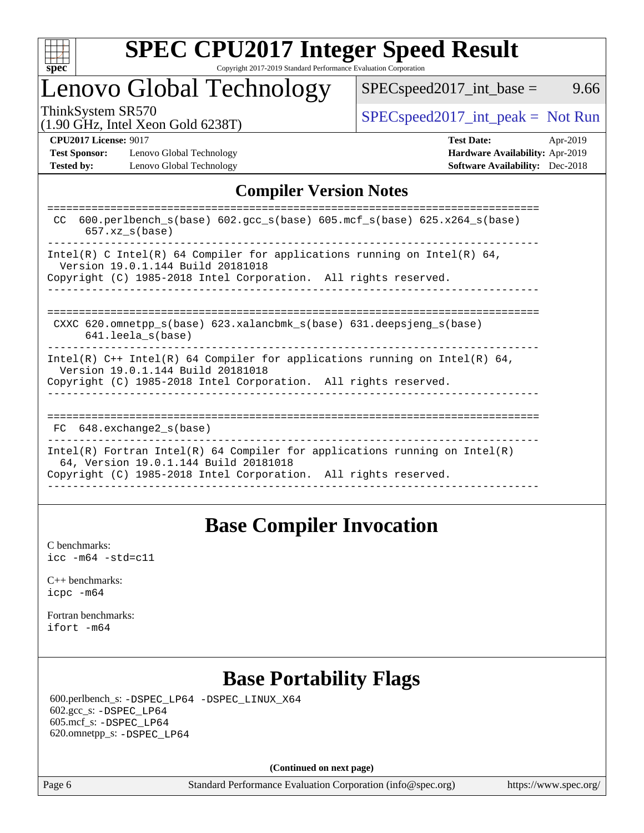

### **[SPEC CPU2017 Integer Speed Result](http://www.spec.org/auto/cpu2017/Docs/result-fields.html#SPECCPU2017IntegerSpeedResult)** Copyright 2017-2019 Standard Performance Evaluation Corporation

## Lenovo Global Technology

 $SPECspeed2017\_int\_base =$  9.66

(1.90 GHz, Intel Xeon Gold 6238T)

ThinkSystem SR570<br>(1.00 GHz, Intel Year Gold 6238T) [SPECspeed2017\\_int\\_peak =](http://www.spec.org/auto/cpu2017/Docs/result-fields.html#SPECspeed2017intpeak) Not Run

**[Test Sponsor:](http://www.spec.org/auto/cpu2017/Docs/result-fields.html#TestSponsor)** Lenovo Global Technology **[Hardware Availability:](http://www.spec.org/auto/cpu2017/Docs/result-fields.html#HardwareAvailability)** Apr-2019 **[Tested by:](http://www.spec.org/auto/cpu2017/Docs/result-fields.html#Testedby)** Lenovo Global Technology **[Software Availability:](http://www.spec.org/auto/cpu2017/Docs/result-fields.html#SoftwareAvailability)** Dec-2018

**[CPU2017 License:](http://www.spec.org/auto/cpu2017/Docs/result-fields.html#CPU2017License)** 9017 **[Test Date:](http://www.spec.org/auto/cpu2017/Docs/result-fields.html#TestDate)** Apr-2019

### **[Compiler Version Notes](http://www.spec.org/auto/cpu2017/Docs/result-fields.html#CompilerVersionNotes)**

| 600.perlbench $s(base)$ 602.qcc $s(base)$ 605.mcf $s(base)$ 625.x264 $s(base)$<br>CC.<br>$657.xz$ s(base)                                                                              |
|----------------------------------------------------------------------------------------------------------------------------------------------------------------------------------------|
| Intel(R) C Intel(R) 64 Compiler for applications running on Intel(R) 64,<br>Version 19.0.1.144 Build 20181018<br>Copyright (C) 1985-2018 Intel Corporation. All rights reserved.       |
| CXXC 620.omnetpp $s(base)$ 623.xalancbmk $s(base)$ 631.deepsjeng $s(base)$<br>$641.$ leela $s(base)$                                                                                   |
| Intel(R) $C++$ Intel(R) 64 Compiler for applications running on Intel(R) 64,<br>Version 19.0.1.144 Build 20181018<br>Copyright (C) 1985-2018 Intel Corporation. All rights reserved.   |
| $FC$ 648. exchange 2 $s$ (base)                                                                                                                                                        |
| Intel(R) Fortran Intel(R) 64 Compiler for applications running on Intel(R)<br>64, Version 19.0.1.144 Build 20181018<br>Copyright (C) 1985-2018 Intel Corporation. All rights reserved. |

### **[Base Compiler Invocation](http://www.spec.org/auto/cpu2017/Docs/result-fields.html#BaseCompilerInvocation)**

[C benchmarks](http://www.spec.org/auto/cpu2017/Docs/result-fields.html#Cbenchmarks): [icc -m64 -std=c11](http://www.spec.org/cpu2017/results/res2019q2/cpu2017-20190430-13420.flags.html#user_CCbase_intel_icc_64bit_c11_33ee0cdaae7deeeab2a9725423ba97205ce30f63b9926c2519791662299b76a0318f32ddfffdc46587804de3178b4f9328c46fa7c2b0cd779d7a61945c91cd35)

[C++ benchmarks:](http://www.spec.org/auto/cpu2017/Docs/result-fields.html#CXXbenchmarks) [icpc -m64](http://www.spec.org/cpu2017/results/res2019q2/cpu2017-20190430-13420.flags.html#user_CXXbase_intel_icpc_64bit_4ecb2543ae3f1412ef961e0650ca070fec7b7afdcd6ed48761b84423119d1bf6bdf5cad15b44d48e7256388bc77273b966e5eb805aefd121eb22e9299b2ec9d9)

[Fortran benchmarks](http://www.spec.org/auto/cpu2017/Docs/result-fields.html#Fortranbenchmarks): [ifort -m64](http://www.spec.org/cpu2017/results/res2019q2/cpu2017-20190430-13420.flags.html#user_FCbase_intel_ifort_64bit_24f2bb282fbaeffd6157abe4f878425411749daecae9a33200eee2bee2fe76f3b89351d69a8130dd5949958ce389cf37ff59a95e7a40d588e8d3a57e0c3fd751)

### **[Base Portability Flags](http://www.spec.org/auto/cpu2017/Docs/result-fields.html#BasePortabilityFlags)**

 600.perlbench\_s: [-DSPEC\\_LP64](http://www.spec.org/cpu2017/results/res2019q2/cpu2017-20190430-13420.flags.html#b600.perlbench_s_basePORTABILITY_DSPEC_LP64) [-DSPEC\\_LINUX\\_X64](http://www.spec.org/cpu2017/results/res2019q2/cpu2017-20190430-13420.flags.html#b600.perlbench_s_baseCPORTABILITY_DSPEC_LINUX_X64) 602.gcc\_s: [-DSPEC\\_LP64](http://www.spec.org/cpu2017/results/res2019q2/cpu2017-20190430-13420.flags.html#suite_basePORTABILITY602_gcc_s_DSPEC_LP64) 605.mcf\_s: [-DSPEC\\_LP64](http://www.spec.org/cpu2017/results/res2019q2/cpu2017-20190430-13420.flags.html#suite_basePORTABILITY605_mcf_s_DSPEC_LP64) 620.omnetpp\_s: [-DSPEC\\_LP64](http://www.spec.org/cpu2017/results/res2019q2/cpu2017-20190430-13420.flags.html#suite_basePORTABILITY620_omnetpp_s_DSPEC_LP64)

**(Continued on next page)**

Page 6 Standard Performance Evaluation Corporation [\(info@spec.org\)](mailto:info@spec.org) <https://www.spec.org/>